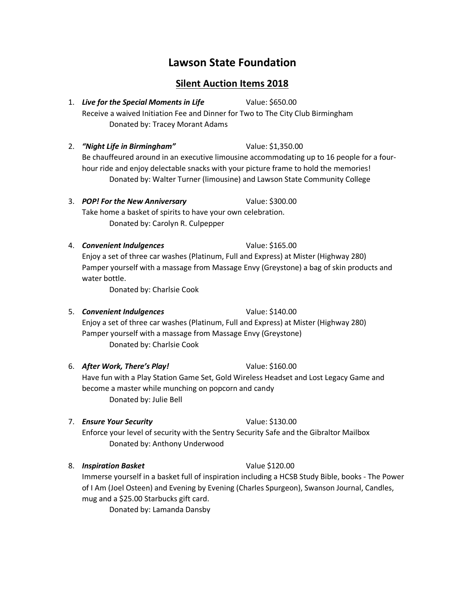# **Lawson State Foundation**

## **Silent Auction Items 2018**

- 1. *Live for the Special Moments in Life* Value: \$650.00 Receive a waived Initiation Fee and Dinner for Two to The City Club Birmingham Donated by: Tracey Morant Adams
- 2. *"Night Life in Birmingham"* Value: \$1,350.00 Be chauffeured around in an executive limousine accommodating up to 16 people for a fourhour ride and enjoy delectable snacks with your picture frame to hold the memories! Donated by: Walter Turner (limousine) and Lawson State Community College
- 3. *POP! For the New Anniversary* Value: \$300.00 Take home a basket of spirits to have your own celebration. Donated by: Carolyn R. Culpepper
- 4. *Convenient Indulgences* Value: \$165.00 Enjoy a set of three car washes (Platinum, Full and Express) at Mister (Highway 280) Pamper yourself with a massage from Massage Envy (Greystone) a bag of skin products and water bottle.

Donated by: Charlsie Cook

5. *Convenient Indulgences* Value: \$140.00

Enjoy a set of three car washes (Platinum, Full and Express) at Mister (Highway 280) Pamper yourself with a massage from Massage Envy (Greystone) Donated by: Charlsie Cook

6. *After Work, There's Play!* Value: \$160.00

Have fun with a Play Station Game Set, Gold Wireless Headset and Lost Legacy Game and become a master while munching on popcorn and candy Donated by: Julie Bell

### 7. *Ensure Your Security* Value: \$130.00

Enforce your level of security with the Sentry Security Safe and the Gibraltor Mailbox Donated by: Anthony Underwood

8. *Inspiration Basket* Value \$120.00

Immerse yourself in a basket full of inspiration including a HCSB Study Bible, books - The Power of I Am (Joel Osteen) and Evening by Evening (Charles Spurgeon), Swanson Journal, Candles, mug and a \$25.00 Starbucks gift card.

Donated by: Lamanda Dansby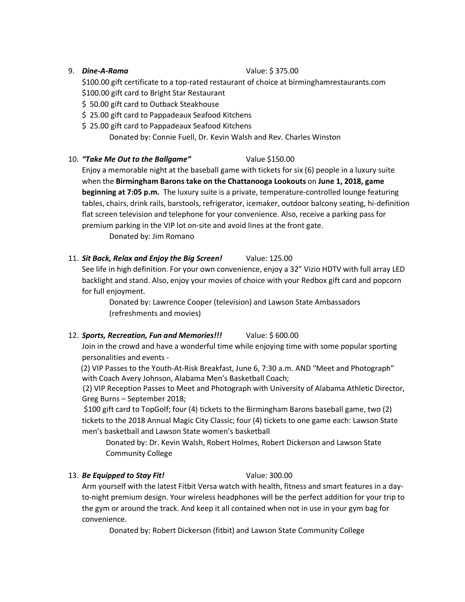### 9. *Dine-A-Rama* Value: \$ 375.00

\$100.00 gift certificate to a top-rated restaurant of choice at birminghamrestaurants.com \$100.00 gift card to Bright Star Restaurant

- \$ 50.00 gift card to Outback Steakhouse
- \$25.00 gift card to Pappadeaux Seafood Kitchens
- \$25.00 gift card to Pappadeaux Seafood Kitchens

Donated by: Connie Fuell, Dr. Kevin Walsh and Rev. Charles Winston

10. *"Take Me Out to the Ballgame"* Value \$150.00

Enjoy a memorable night at the baseball game with tickets for six (6) people in a luxury suite when the **Birmingham Barons take on the Chattanooga Lookouts** on **June 1, 2018, game beginning at 7:05 p.m.** The luxury suite is a private, temperature-controlled lounge featuring tables, chairs, drink rails, barstools, refrigerator, icemaker, outdoor balcony seating, hi-definition flat screen television and telephone for your convenience. Also, receive a parking pass for premium parking in the VIP lot on-site and avoid lines at the front gate.

Donated by: Jim Romano

11. *Sit Back, Relax and Enjoy the Big Screen!* Value: 125.00

See life in high definition. For your own convenience, enjoy a 32" Vizio HDTV with full array LED backlight and stand. Also, enjoy your movies of choice with your Redbox gift card and popcorn for full enjoyment.

Donated by: Lawrence Cooper (television) and Lawson State Ambassadors (refreshments and movies)

12. *Sports, Recreation, Fun and Memories!!!* Value: \$ 600.00

Join in the crowd and have a wonderful time while enjoying time with some popular sporting personalities and events -

 (2) VIP Passes to the Youth-At-Risk Breakfast, June 6, 7:30 a.m. AND "Meet and Photograph" with Coach Avery Johnson, Alabama Men's Basketball Coach;

 (2) VIP Reception Passes to Meet and Photograph with University of Alabama Athletic Director, Greg Burns – September 2018;

 \$100 gift card to TopGolf; four (4) tickets to the Birmingham Barons baseball game, two (2) tickets to the 2018 Annual Magic City Classic; four (4) tickets to one game each: Lawson State men's basketball and Lawson State women's basketball

 Donated by: Dr. Kevin Walsh, Robert Holmes, Robert Dickerson and Lawson State Community College

### 13. *Be Equipped to Stay Fit!* Value: 300.00

Arm yourself with the latest Fitbit Versa watch with health, fitness and smart features in a dayto-night premium design. Your wireless headphones will be the perfect addition for your trip to the gym or around the track. And keep it all contained when not in use in your gym bag for convenience.

Donated by: Robert Dickerson (fitbit) and Lawson State Community College